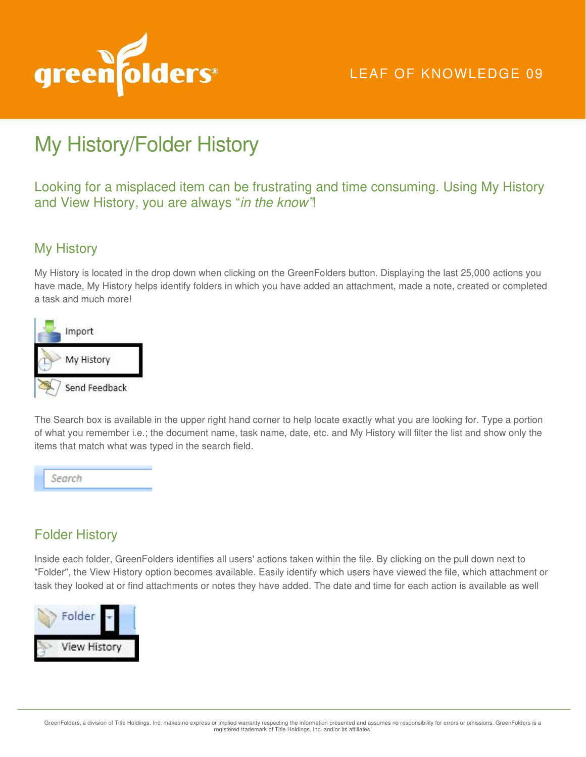

## LEAF OF KNOWLEDGE 09

## My History/Folder History

Looking for a misplaced item can be frustrating and time consuming. Using My History and View History, you are always "in the know"!

## My History

My History is located in the drop down when clicking on the GreenFolders button. Displaying the last 25,000 actions you have made, My History helps identify folders in which you have added an attachment, made a note, created or completed a task and much more!



The Search box is available in the upper right hand corner to help locate exactly what you are looking for. Type a portion of what you remember i.e.; the document name, task name, date, etc. and My History will filter the list and show only the items that match what was typed in the search field.



## Folder History

Inside each folder, GreenFolders identifies all users' actions taken within the file. By clicking on the pull down next to "Folder", the View History option becomes available. Easily identify which users have viewed the file, which attachment or task they looked at or find attachments or notes they have added. The date and time for each action is available as well